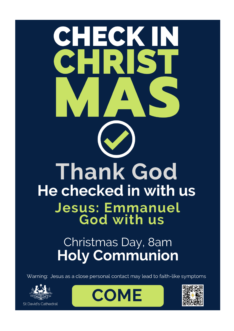# **HEGKIN Thank God** He checked in with us **Jesus: Emmanuel<br>God with us**

# Christmas Day, 8am **Holy Communion**

Warning: Jesus as a close personal contact may lead to faith-like symptoms





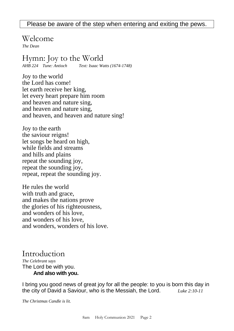### Please be aware of the step when entering and exiting the pews.

Welcome *The Dean*

# Hymn: Joy to the World

*AHB 224 Tune: Antioch Text: Isaac Watts (1674-1748)*

Joy to the world the Lord has come! let earth receive her king, let every heart prepare him room and heaven and nature sing, and heaven and nature sing, and heaven, and heaven and nature sing!

Joy to the earth the saviour reigns! let songs be heard on high, while fields and streams and hills and plains repeat the sounding joy, repeat the sounding joy, repeat, repeat the sounding joy.

He rules the world with truth and grace, and makes the nations prove the glories of his righteousness, and wonders of his love, and wonders of his love, and wonders, wonders of his love.

### Introduction

*The Celebrant says* The Lord be with you. **And also with you.**

I bring you good news of great joy for all the people: to you is born this day in the city of David a Saviour, who is the Messiah, the Lord. *Luke 2:10-11*

*The Christmas Candle is lit.*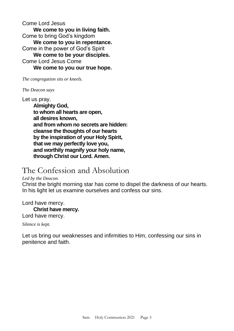Come Lord Jesus **We come to you in living faith.** Come to bring God's kingdom **We come to you in repentance.** Come in the power of God's Spirit **We come to be your disciples.** Come Lord Jesus Come **We come to you our true hope.**

*The congregation sits or kneels.* 

*The Deacon says*

Let us pray.

**Almighty God, to whom all hearts are open, all desires known, and from whom no secrets are hidden: cleanse the thoughts of our hearts by the inspiration of your Holy Spirit, that we may perfectly love you, and worthily magnify your holy name, through Christ our Lord. Amen.**

# The Confession and Absolution

### *Led by the Deacon.*

Christ the bright morning star has come to dispel the darkness of our hearts. In his light let us examine ourselves and confess our sins.

Lord have mercy.

**Christ have mercy.**

Lord have mercy.

*Silence is kept.*

Let us bring our weaknesses and infirmities to Him, confessing our sins in penitence and faith.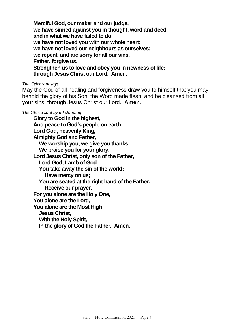**Merciful God, our maker and our judge, we have sinned against you in thought, word and deed, and in what we have failed to do: we have not loved you with our whole heart; we have not loved our neighbours as ourselves; we repent, and are sorry for all our sins. Father, forgive us. Strengthen us to love and obey you in newness of life; through Jesus Christ our Lord. Amen.**

*The Celebrant says*

May the God of all healing and forgiveness draw you to himself that you may behold the glory of his Son, the Word made flesh, and be cleansed from all your sins, through Jesus Christ our Lord. **Amen**.

### *The Gloria said by all standing*

**Glory to God in the highest, And peace to God's people on earth. Lord God, heavenly King, Almighty God and Father, We worship you, we give you thanks, We praise you for your glory. Lord Jesus Christ, only son of the Father, Lord God, Lamb of God You take away the sin of the world: Have mercy on us; You are seated at the right hand of the Father: Receive our prayer. For you alone are the Holy One, You alone are the Lord, You alone are the Most High Jesus Christ, With the Holy Spirit, In the glory of God the Father. Amen.**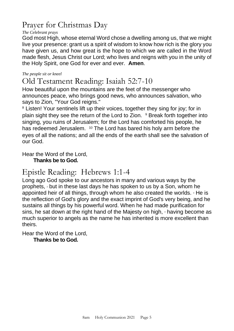# Prayer for Christmas Day

### *The Celebrant prays*

God most High, whose eternal Word chose a dwelling among us, that we might live your presence: grant us a spirit of wisdom to know how rich is the glory you have given us, and how great is the hope to which we are called in the Word made flesh, Jesus Christ our Lord; who lives and reigns with you in the unity of the Holy Spirit, one God for ever and ever. **Amen**.

### *The people sit or kneel*

# Old Testament Reading: Isaiah 52:7-10

How beautiful upon the mountains are the feet of the messenger who announces peace, who brings good news, who announces salvation, who says to Zion, "Your God reigns."

<sup>8</sup> Listen! Your sentinels lift up their voices, together they sing for joy; for in plain sight they see the return of the Lord to Zion. <sup>9</sup> Break forth together into singing, you ruins of Jerusalem; for the Lord has comforted his people, he has redeemed Jerusalem. <sup>10</sup> The Lord has bared his holy arm before the eyes of all the nations; and all the ends of the earth shall see the salvation of our God.

Hear the Word of the Lord,

### **Thanks be to God.**

# Epistle Reading: Hebrews 1:1-4

Long ago God spoke to our ancestors in many and various ways by the prophets, <sup>2</sup> but in these last days he has spoken to us by a Son, whom he appointed heir of all things, through whom he also created the worlds.  $\frac{3}{5}$  He is the reflection of God's glory and the exact imprint of God's very being, and he sustains all things by his powerful word. When he had made purification for sins, he sat down at the right hand of the Majesty on high, <sup>4</sup> having become as much superior to angels as the name he has inherited is more excellent than theirs.

Hear the Word of the Lord, **Thanks be to God.**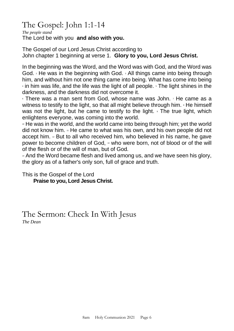# The Gospel: John 1:1-14

*The people stand* The Lord be with you **and also with you.**

The Gospel of our Lord Jesus Christ according to John chapter 1 beginning at verse 1. **Glory to you, Lord Jesus Christ.**

In the beginning was the Word, and the Word was with God, and the Word was God. <sup>2</sup> He was in the beginning with God. <sup>3</sup> All things came into being through him, and without him not one thing came into being. What has come into being  $\cdot$  in him was life, and the life was the light of all people.  $\cdot$  The light shines in the darkness, and the darkness did not overcome it.

 $\cdot$  There was a man sent from God, whose name was John.  $\cdot$  He came as a witness to testify to the light, so that all might believe through him.  $\cdot$  He himself was not the light, but he came to testify to the light.  $\overline{9}$  The true light, which enlightens everyone, was coming into the world.

<sup>10</sup> He was in the world, and the world came into being through him; yet the world did not know him.  $\cdot$  He came to what was his own, and his own people did not accept him. <sup>12</sup> But to all who received him, who believed in his name, he gave power to become children of God, <sup>13</sup> who were born, not of blood or of the will of the flesh or of the will of man, but of God.

<sup>14</sup> And the Word became flesh and lived among us, and we have seen his glory, the glory as of a father's only son, full of grace and truth.

This is the Gospel of the Lord **Praise to you, Lord Jesus Christ.** 

The Sermon: Check In With Jesus *The Dean*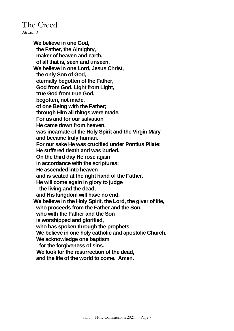The Creed *All stand.*

> **We believe in one God, the Father, the Almighty, maker of heaven and earth, of all that is, seen and unseen. We believe in one Lord, Jesus Christ, the only Son of God, eternally begotten of the Father, God from God, Light from Light, true God from true God, begotten, not made, of one Being with the Father; through Him all things were made. For us and for our salvation He came down from heaven, was incarnate of the Holy Spirit and the Virgin Mary and became truly human. For our sake He was crucified under Pontius Pilate; He suffered death and was buried. On the third day He rose again in accordance with the scriptures; He ascended into heaven and is seated at the right hand of the Father. He will come again in glory to judge the living and the dead, and His kingdom will have no end. We believe in the Holy Spirit, the Lord, the giver of life, who proceeds from the Father and the Son, who with the Father and the Son is worshipped and glorified, who has spoken through the prophets. We believe in one holy catholic and apostolic Church. We acknowledge one baptism for the forgiveness of sins. We look for the resurrection of the dead, and the life of the world to come. Amen.**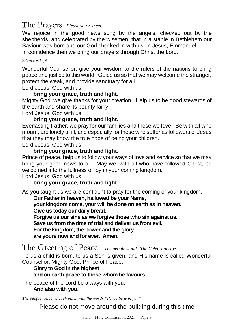# The Prayers *Please sit or kneel.*

We rejoice in the good news sung by the angels, checked out by the shepherds, and celebrated by the wisemen, that in a stable in Bethlehem our Saviour was born and our God checked in with us, in Jesus, Emmanuel. In confidence then we bring our prayers through Christ the Lord.

### *Silence is kept*

Wonderful Counsellor, give your wisdom to the rulers of the nations to bring peace and justice to this world. Guide us so that we may welcome the stranger, protect the weak, and provide sanctuary for all.

Lord Jesus, God with us

### **bring your grace, truth and light.**

Mighty God, we give thanks for your creation. Help us to be good stewards of the earth and share its bounty fairly.

Lord Jesus, God with us

### **bring your grace, truth and light.**

Everlasting Father, we pray for our families and those we love. Be with all who mourn, are lonely or ill, and especially for those who suffer as followers of Jesus that they may know the true hope of being your children.

Lord Jesus, God with us

### **bring your grace, truth and light.**

Prince of peace, help us to follow your ways of love and service so that we may bring your good news to all. May we, with all who have followed Christ, be welcomed into the fullness of joy in your coming kingdom.

Lord Jesus, God with us

### **bring your grace, truth and light.**

As you taught us we are confident to pray for the coming of your kingdom. **Our Father in heaven, hallowed be your Name,**

**your kingdom come, your will be done on earth as in heaven. Give us today our daily bread.**

**Forgive us our sins as we forgive those who sin against us.**

**Save us from the time of trial and deliver us from evil.**

**For the kingdom, the power and the glory**

**are yours now and for ever. Amen.**

### The Greeting of Peace *The people stand. The Celebrant says*

To us a child is born, to us a Son is given; and His name is called Wonderful Counsellor, Mighty God, Prince of Peace.

### **Glory to God in the highest and on earth peace to those whom he favours.**

The peace of the Lord be always with you. **And also with you.**

*The people welcome each other with the words "Peace be with you"*

Please do not move around the building during this time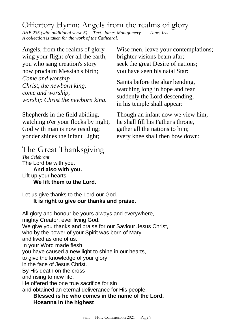# Offertory Hymn: Angels from the realms of glory

*AHB 235 (with additional verse 5) Text: James Montgomery Tune: Iris A collection is taken for the work of the Cathedral.*

Angels, from the realms of glory wing your flight o'er all the earth; you who sang creation's story now proclaim Messiah's birth; *Come and worship Christ, the newborn king: come and worship, worship Christ the newborn king.*

Shepherds in the field abiding, watching o'er your flocks by night, God with man is now residing; yonder shines the infant Light;

# The Great Thanksgiving

*The Celebrant* The Lord be with you. **And also with you.** Lift up your hearts.

### **We lift them to the Lord.**

Let us give thanks to the Lord our God. **It is right to give our thanks and praise.**

All glory and honour be yours always and everywhere, mighty Creator, ever living God. We give you thanks and praise for our Saviour Jesus Christ, who by the power of your Spirit was born of Mary and lived as one of us. In your Word made flesh you have caused a new light to shine in our hearts, to give the knowledge of your glory in the face of Jesus Christ. By His death on the cross and rising to new life, He offered the one true sacrifice for sin and obtained an eternal deliverance for His people. **Blessed is he who comes in the name of the Lord. Hosanna in the highest**

Wise men, leave your contemplations; brighter visions beam afar; seek the great Desire of nations; you have seen his natal Star:

Saints before the altar bending, watching long in hope and fear suddenly the Lord descending, in his temple shall appear:

Though an infant now we view him, he shall fill his Father's throne, gather all the nations to him; every knee shall then bow down: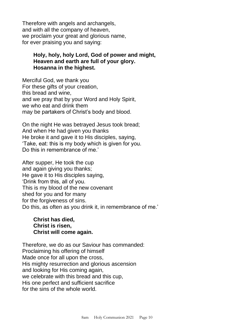Therefore with angels and archangels, and with all the company of heaven, we proclaim your great and glorious name, for ever praising you and saying:

### **Holy, holy, holy Lord, God of power and might, Heaven and earth are full of your glory. Hosanna in the highest.**

Merciful God, we thank you For these gifts of your creation, this bread and wine, and we pray that by your Word and Holy Spirit, we who eat and drink them may be partakers of Christ's body and blood.

On the night He was betrayed Jesus took bread; And when He had given you thanks He broke it and gave it to His disciples, saying, 'Take, eat: this is my body which is given for you. Do this in remembrance of me.'

After supper, He took the cup and again giving you thanks; He gave it to His disciples saying, 'Drink from this, all of you. This is my blood of the new covenant shed for you and for many for the forgiveness of sins. Do this, as often as you drink it, in remembrance of me.'

### **Christ has died, Christ is risen, Christ will come again.**

Therefore, we do as our Saviour has commanded: Proclaiming his offering of himself Made once for all upon the cross, His mighty resurrection and glorious ascension and looking for His coming again, we celebrate with this bread and this cup, His one perfect and sufficient sacrifice for the sins of the whole world.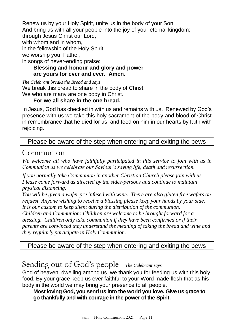Renew us by your Holy Spirit, unite us in the body of your Son And bring us with all your people into the joy of your eternal kingdom; through Jesus Christ our Lord,

with whom and in whom,

in the fellowship of the Holy Spirit,

we worship you, Father,

in songs of never-ending praise:

### **Blessing and honour and glory and power are yours for ever and ever. Amen.**

*The Celebrant breaks the Bread and says* We break this bread to share in the body of Christ. We who are many are one body in Christ.

### **For we all share in the one bread.**

In Jesus, God has checked in with us and remains with us. Renewed by God's presence with us we take this holy sacrament of the body and blood of Christ in remembrance that he died for us, and feed on him in our hearts by faith with rejoicing.

### Please be aware of the step when entering and exiting the pews

# Communion

*We welcome all who have faithfully participated in this service to join with us in Communion as we celebrate our Saviour's saving life, death and resurrection.*

*If you normally take Communion in another Christian Church please join with us. Please come forward as directed by the sides-persons and continue to maintain physical distancing.*

*You will be given a wafer pre infused with wine. There are also gluten free wafers on request. Anyone wishing to receive a blessing please keep your hands by your side. It is our custom to keep silent during the distribution of the communion.*

*Children and Communion: Children are welcome to be brought forward for a blessing. Children only take communion if they have been confirmed or if their parents are convinced they understand the meaning of taking the bread and wine and they regularly participate in Holy Communion.*

### Please be aware of the step when entering and exiting the pews

# Sending out of God's people *The Celebrant says*

God of heaven, dwelling among us, we thank you for feeding us with this holy food. By your grace keep us ever faithful to your Word made flesh that as his body in the world we may bring your presence to all people.

### **Most loving God, you send us into the world you love. Give us grace to go thankfully and with courage in the power of the Spirit.**